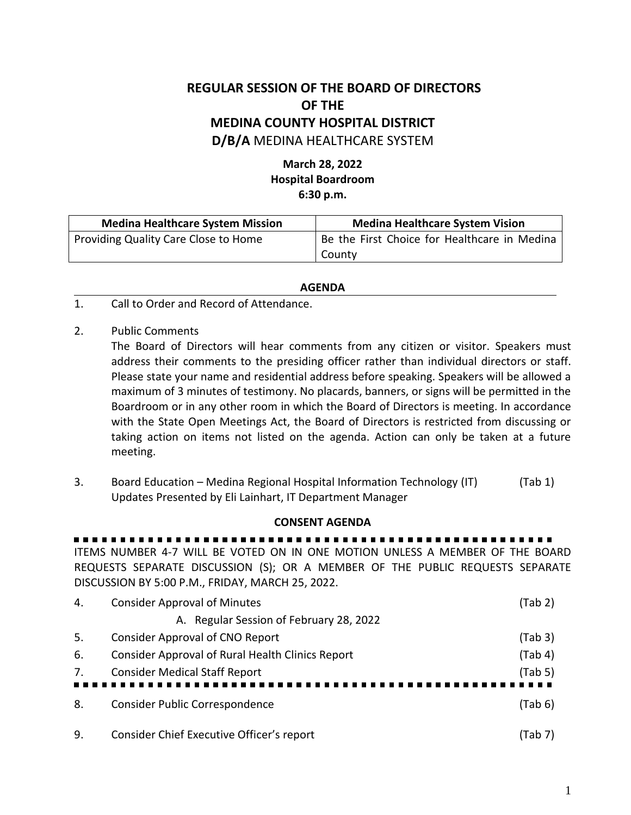## **REGULAR SESSION OF THE BOARD OF DIRECTORS OF THE MEDINA COUNTY HOSPITAL DISTRICT D/B/A** MEDINA HEALTHCARE SYSTEM

## **March 28, 2022 Hospital Boardroom 6:30 p.m.**

| <b>Medina Healthcare System Mission</b><br><b>Medina Healthcare System Vision</b> |                                              |
|-----------------------------------------------------------------------------------|----------------------------------------------|
| Providing Quality Care Close to Home                                              | Be the First Choice for Healthcare in Medina |
|                                                                                   | County                                       |

## **AGENDA**

- 1. Call to Order and Record of Attendance.
- 2. Public Comments

The Board of Directors will hear comments from any citizen or visitor. Speakers must address their comments to the presiding officer rather than individual directors or staff. Please state your name and residential address before speaking. Speakers will be allowed a maximum of 3 minutes of testimony. No placards, banners, or signs will be permitted in the Boardroom or in any other room in which the Board of Directors is meeting. In accordance with the State Open Meetings Act, the Board of Directors is restricted from discussing or taking action on items not listed on the agenda. Action can only be taken at a future meeting.

3. Board Education – Medina Regional Hospital Information Technology (IT) (Tab 1) Updates Presented by Eli Lainhart, IT Department Manager

## **CONSENT AGENDA**

----------------------ITEMS NUMBER 4-7 WILL BE VOTED ON IN ONE MOTION UNLESS A MEMBER OF THE BOARD REQUESTS SEPARATE DISCUSSION (S); OR A MEMBER OF THE PUBLIC REQUESTS SEPARATE DISCUSSION BY 5:00 P.M., FRIDAY, MARCH 25, 2022.

| 4.  | <b>Consider Approval of Minutes</b>              | (Tab 2) |
|-----|--------------------------------------------------|---------|
|     | A. Regular Session of February 28, 2022          |         |
| -5. | Consider Approval of CNO Report                  | (Tab 3) |
| 6.  | Consider Approval of Rural Health Clinics Report | (Tab 4) |
| 7.  | <b>Consider Medical Staff Report</b>             | (Tab 5) |
|     |                                                  |         |
| 8.  | Consider Public Correspondence                   | (Tab 6) |
|     |                                                  |         |
| 9.  | Consider Chief Executive Officer's report        | (Tab 7) |